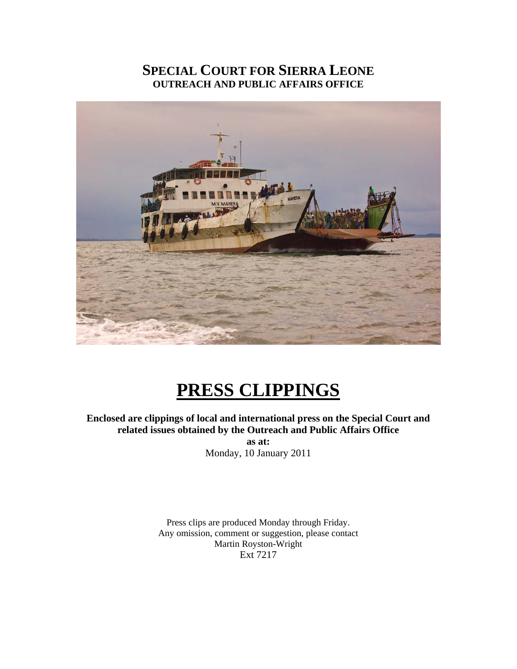## **SPECIAL COURT FOR SIERRA LEONE OUTREACH AND PUBLIC AFFAIRS OFFICE**



# **PRESS CLIPPINGS**

**Enclosed are clippings of local and international press on the Special Court and related issues obtained by the Outreach and Public Affairs Office as at:**  Monday, 10 January 2011

> Press clips are produced Monday through Friday. Any omission, comment or suggestion, please contact Martin Royston-Wright Ext 7217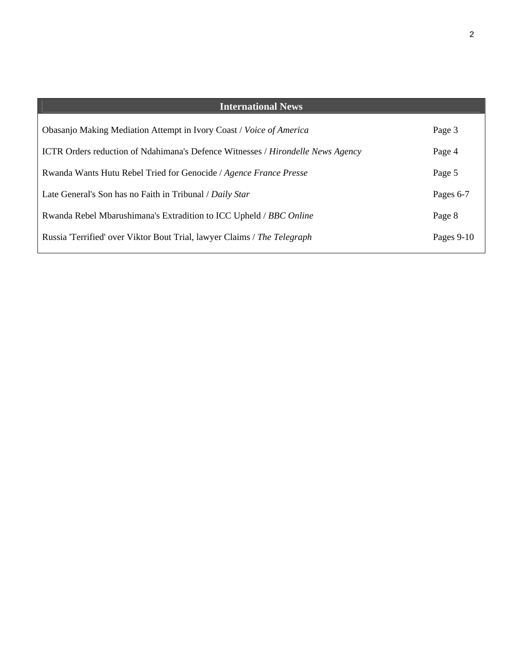| <b>International News</b>                                                                     |              |
|-----------------------------------------------------------------------------------------------|--------------|
| Obasanjo Making Mediation Attempt in Ivory Coast / Voice of America                           | Page 3       |
| <b>ICTR</b> Orders reduction of Ndahimana's Defence Witnesses / <i>Hirondelle News Agency</i> | Page 4       |
| Rwanda Wants Hutu Rebel Tried for Genocide / Agence France Presse                             | Page 5       |
| Late General's Son has no Faith in Tribunal / Daily Star                                      | Pages 6-7    |
| Rwanda Rebel Mbarushimana's Extradition to ICC Upheld / BBC Online                            | Page 8       |
| Russia "Terrified" over Viktor Bout Trial, lawyer Claims / The Telegraph                      | Pages $9-10$ |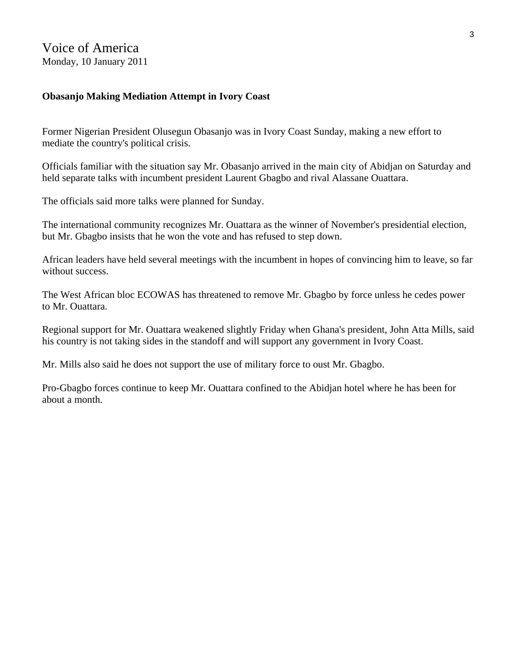### Voice of America Monday, 10 January 2011

#### **Obasanjo Making Mediation Attempt in Ivory Coast**

Former Nigerian President Olusegun Obasanjo was in Ivory Coast Sunday, making a new effort to mediate the country's political crisis.

Officials familiar with the situation say Mr. Obasanjo arrived in the main city of Abidjan on Saturday and held separate talks with incumbent president Laurent Gbagbo and rival Alassane Ouattara.

The officials said more talks were planned for Sunday.

The international community recognizes Mr. Ouattara as the winner of November's presidential election, but Mr. Gbagbo insists that he won the vote and has refused to step down.

African leaders have held several meetings with the incumbent in hopes of convincing him to leave, so far without success.

The West African bloc ECOWAS has threatened to remove Mr. Gbagbo by force unless he cedes power to Mr. Ouattara.

Regional support for Mr. Ouattara weakened slightly Friday when Ghana's president, John Atta Mills, said his country is not taking sides in the standoff and will support any government in Ivory Coast.

Mr. Mills also said he does not support the use of military force to oust Mr. Gbagbo.

Pro-Gbagbo forces continue to keep Mr. Ouattara confined to the Abidjan hotel where he has been for about a month.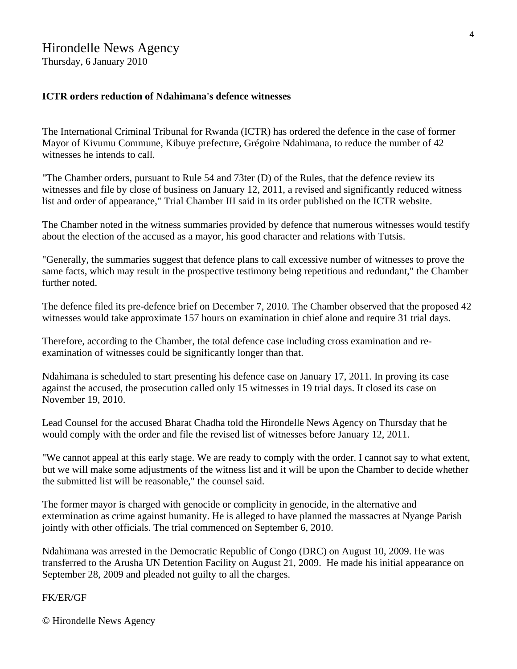## Hirondelle News Agency

Thursday, 6 January 2010

#### **ICTR orders reduction of Ndahimana's defence witnesses**

The International Criminal Tribunal for Rwanda (ICTR) has ordered the defence in the case of former Mayor of Kivumu Commune, Kibuye prefecture, Grégoire Ndahimana, to reduce the number of 42 witnesses he intends to call.

"The Chamber orders, pursuant to Rule 54 and 73ter (D) of the Rules, that the defence review its witnesses and file by close of business on January 12, 2011, a revised and significantly reduced witness list and order of appearance," Trial Chamber III said in its order published on the ICTR website.

The Chamber noted in the witness summaries provided by defence that numerous witnesses would testify about the election of the accused as a mayor, his good character and relations with Tutsis.

"Generally, the summaries suggest that defence plans to call excessive number of witnesses to prove the same facts, which may result in the prospective testimony being repetitious and redundant," the Chamber further noted.

The defence filed its pre-defence brief on December 7, 2010. The Chamber observed that the proposed 42 witnesses would take approximate 157 hours on examination in chief alone and require 31 trial days.

Therefore, according to the Chamber, the total defence case including cross examination and reexamination of witnesses could be significantly longer than that.

Ndahimana is scheduled to start presenting his defence case on January 17, 2011. In proving its case against the accused, the prosecution called only 15 witnesses in 19 trial days. It closed its case on November 19, 2010.

Lead Counsel for the accused Bharat Chadha told the Hirondelle News Agency on Thursday that he would comply with the order and file the revised list of witnesses before January 12, 2011.

"We cannot appeal at this early stage. We are ready to comply with the order. I cannot say to what extent, but we will make some adjustments of the witness list and it will be upon the Chamber to decide whether the submitted list will be reasonable," the counsel said.

The former mayor is charged with genocide or complicity in genocide, in the alternative and extermination as crime against humanity. He is alleged to have planned the massacres at Nyange Parish jointly with other officials. The trial commenced on September 6, 2010.

Ndahimana was arrested in the Democratic Republic of Congo (DRC) on August 10, 2009. He was transferred to the Arusha UN Detention Facility on August 21, 2009. He made his initial appearance on September 28, 2009 and pleaded not guilty to all the charges.

#### FK/ER/GF

© Hirondelle News Agency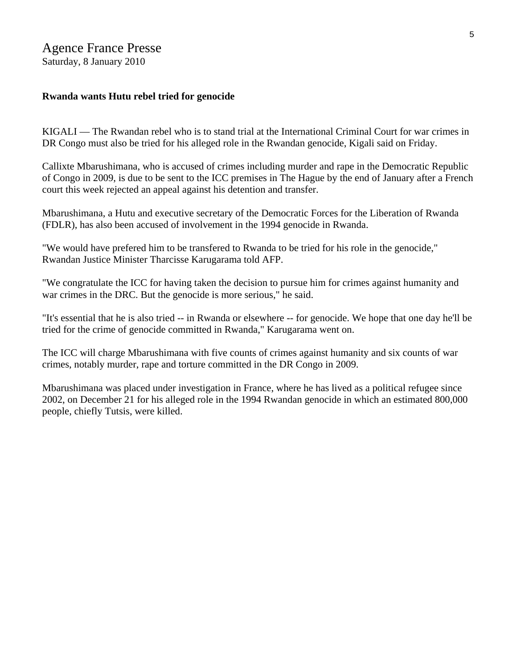#### Agence France Presse Saturday, 8 January 2010

#### **Rwanda wants Hutu rebel tried for genocide**

KIGALI — The Rwandan rebel who is to stand trial at the International Criminal Court for war crimes in DR Congo must also be tried for his alleged role in the Rwandan genocide, Kigali said on Friday.

Callixte Mbarushimana, who is accused of crimes including murder and rape in the Democratic Republic of Congo in 2009, is due to be sent to the ICC premises in The Hague by the end of January after a French court this week rejected an appeal against his detention and transfer.

Mbarushimana, a Hutu and executive secretary of the Democratic Forces for the Liberation of Rwanda (FDLR), has also been accused of involvement in the 1994 genocide in Rwanda.

"We would have prefered him to be transfered to Rwanda to be tried for his role in the genocide," Rwandan Justice Minister Tharcisse Karugarama told AFP.

"We congratulate the ICC for having taken the decision to pursue him for crimes against humanity and war crimes in the DRC. But the genocide is more serious," he said.

"It's essential that he is also tried -- in Rwanda or elsewhere -- for genocide. We hope that one day he'll be tried for the crime of genocide committed in Rwanda," Karugarama went on.

The ICC will charge Mbarushimana with five counts of crimes against humanity and six counts of war crimes, notably murder, rape and torture committed in the DR Congo in 2009.

Mbarushimana was placed under investigation in France, where he has lived as a political refugee since 2002, on December 21 for his alleged role in the 1994 Rwandan genocide in which an estimated 800,000 people, chiefly Tutsis, were killed.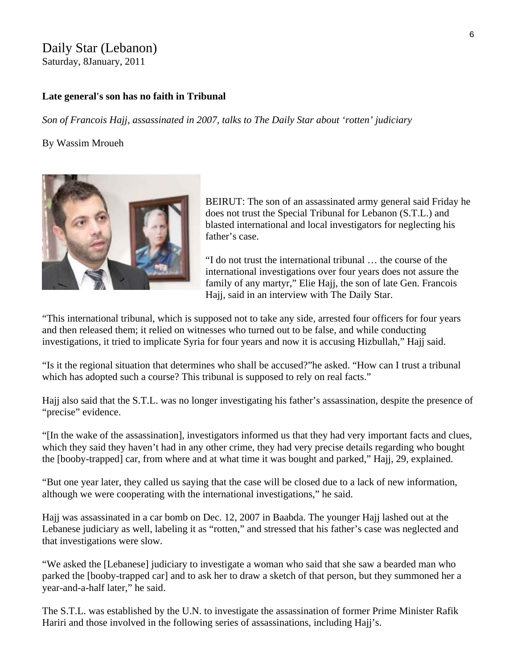#### Daily Star (Lebanon) Saturday, 8January, 2011

#### **Late general's son has no faith in Tribunal**

*Son of Francois Hajj, assassinated in 2007, talks to The Daily Star about 'rotten' judiciary*

#### By Wassim Mroueh



BEIRUT: The son of an assassinated army general said Friday he does not trust the Special Tribunal for Lebanon (S.T.L.) and blasted international and local investigators for neglecting his father's case.

"I do not trust the international tribunal … the course of the international investigations over four years does not assure the family of any martyr," Elie Hajj, the son of late Gen. Francois Hajj, said in an interview with The Daily Star.

"This international tribunal, which is supposed not to take any side, arrested four officers for four years and then released them; it relied on witnesses who turned out to be false, and while conducting investigations, it tried to implicate Syria for four years and now it is accusing Hizbullah," Hajj said.

"Is it the regional situation that determines who shall be accused?"he asked. "How can I trust a tribunal which has adopted such a course? This tribunal is supposed to rely on real facts."

Hajj also said that the S.T.L. was no longer investigating his father's assassination, despite the presence of "precise" evidence.

"[In the wake of the assassination], investigators informed us that they had very important facts and clues, which they said they haven't had in any other crime, they had very precise details regarding who bought the [booby-trapped] car, from where and at what time it was bought and parked," Hajj, 29, explained.

"But one year later, they called us saying that the case will be closed due to a lack of new information, although we were cooperating with the international investigations," he said.

Hajj was assassinated in a car bomb on Dec. 12, 2007 in Baabda. The younger Hajj lashed out at the Lebanese judiciary as well, labeling it as "rotten," and stressed that his father's case was neglected and that investigations were slow.

"We asked the [Lebanese] judiciary to investigate a woman who said that she saw a bearded man who parked the [booby-trapped car] and to ask her to draw a sketch of that person, but they summoned her a year-and-a-half later," he said.

The S.T.L. was established by the U.N. to investigate the assassination of former Prime Minister Rafik Hariri and those involved in the following series of assassinations, including Hajj's.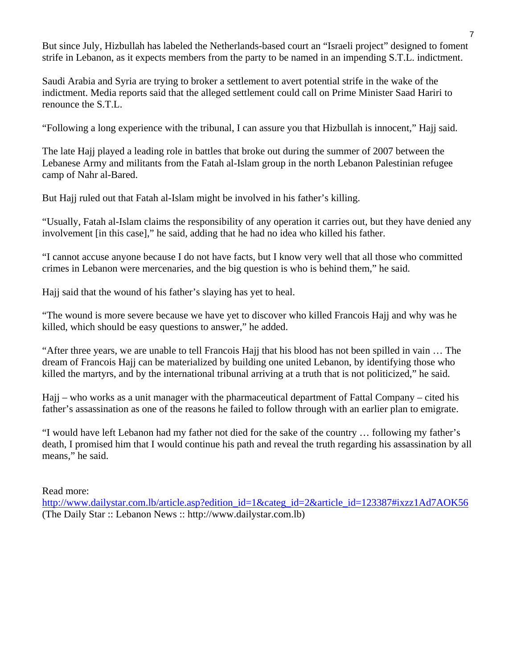But since July, Hizbullah has labeled the Netherlands-based court an "Israeli project" designed to foment strife in Lebanon, as it expects members from the party to be named in an impending S.T.L. indictment.

Saudi Arabia and Syria are trying to broker a settlement to avert potential strife in the wake of the indictment. Media reports said that the alleged settlement could call on Prime Minister Saad Hariri to renounce the S.T.L.

"Following a long experience with the tribunal, I can assure you that Hizbullah is innocent," Hajj said.

The late Hajj played a leading role in battles that broke out during the summer of 2007 between the Lebanese Army and militants from the Fatah al-Islam group in the north Lebanon Palestinian refugee camp of Nahr al-Bared.

But Hajj ruled out that Fatah al-Islam might be involved in his father's killing.

"Usually, Fatah al-Islam claims the responsibility of any operation it carries out, but they have denied any involvement [in this case]," he said, adding that he had no idea who killed his father.

"I cannot accuse anyone because I do not have facts, but I know very well that all those who committed crimes in Lebanon were mercenaries, and the big question is who is behind them," he said.

Hajj said that the wound of his father's slaying has yet to heal.

"The wound is more severe because we have yet to discover who killed Francois Hajj and why was he killed, which should be easy questions to answer," he added.

"After three years, we are unable to tell Francois Hajj that his blood has not been spilled in vain … The dream of Francois Hajj can be materialized by building one united Lebanon, by identifying those who killed the martyrs, and by the international tribunal arriving at a truth that is not politicized," he said.

Hajj – who works as a unit manager with the pharmaceutical department of Fattal Company – cited his father's assassination as one of the reasons he failed to follow through with an earlier plan to emigrate.

"I would have left Lebanon had my father not died for the sake of the country … following my father's death, I promised him that I would continue his path and reveal the truth regarding his assassination by all means," he said.

Read more:

[http://www.dailystar.com.lb/article.asp?edition\\_id=1&categ\\_id=2&article\\_id=123387#ixzz1Ad7AOK56](http://www.dailystar.com.lb/article.asp?edition_id=1&categ_id=2&article_id=123387#ixzz1Ad7AOK56)  (The Daily Star :: Lebanon News :: http://www.dailystar.com.lb)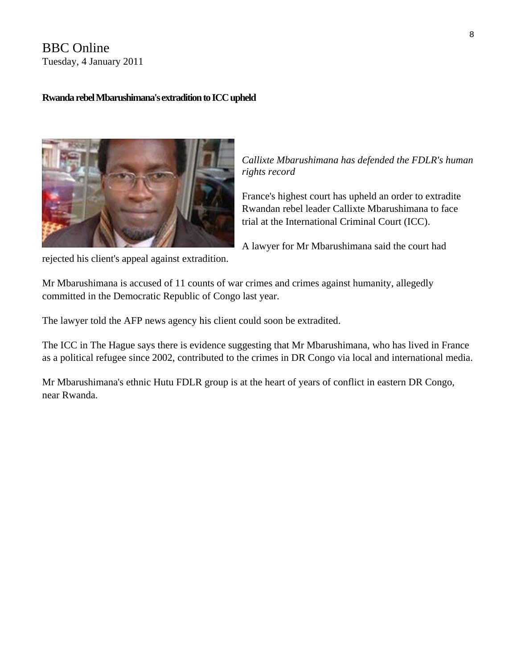BBC Online Tuesday, 4 January 2011

#### **Rwanda rebel Mbarushimana's extradition to ICC upheld**



*Callixte Mbarushimana has defended the FDLR's h uman rights record* 

France's highest court has upheld an order to extradite Rwandan rebel leader Callixte Mbarushimana to face trial at the International Criminal Court (ICC).

A lawyer for Mr Mbarushimana said the court had

rejected his client's appeal against extradition.

Mr Mbarushimana is accused of 11 counts of war crimes and crimes against humanity, allegedly committed in the Democratic Republic of Congo last year.

The lawyer told the AFP news agency his client could soon be extradited.

The ICC in The Hague says there is evidence suggesting that Mr Mbarushimana, who has lived in France as a political refugee since 2002, contributed to the crimes in DR Congo via local and international media.

Mr Mbarushimana's ethnic Hutu FDLR group is at the heart of years of conflict in eastern DR Congo, near Rwanda.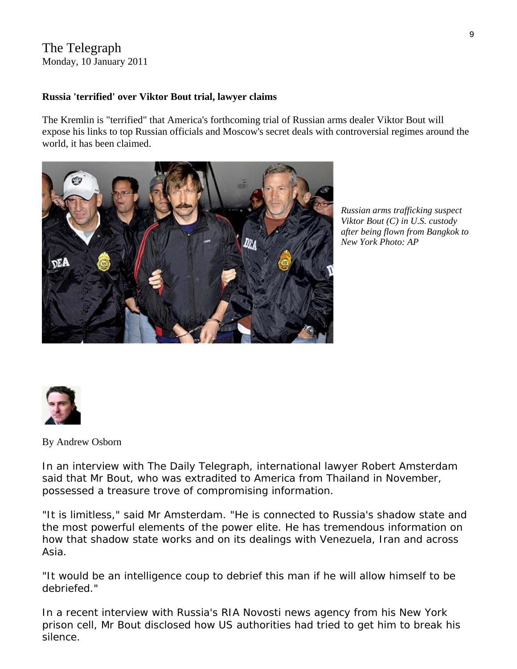## The Telegraph

Monday, 10 January 2011

#### **Russia 'terrified' over Viktor Bout trial, lawyer claims**

The Kremlin is "terrified" that America's forthcoming trial of Russian arms dealer Viktor Bout will expose his links to top Russian officials and Moscow's secret deals with controversial regimes around the world, it has been claimed.



*Russian arms trafficking suspect Viktor Bout (C) in U.S. custody after being flown from Bangkok to New York Photo: AP* 



By [Andrew Osborn](http://www.telegraph.co.uk/journalists/andrew-osborn/) 

In an interview with The Daily Telegraph, international lawyer Robert Amsterdam said that Mr Bout, who was extradited to America from Thailand in November, possessed a treasure trove of compromising information.

"It is limitless," said Mr Amsterdam. "He is connected to Russia's shadow state and the most powerful elements of the power elite. He has tremendous information on how that shadow state works and on its dealings with Venezuela, Iran and across Asia.

"It would be an intelligence coup to debrief this man if he will allow himself to be debriefed."

In a recent interview with Russia's RIA Novosti news agency from his New York prison cell, Mr Bout disclosed how US authorities had tried to get him to break his silence.